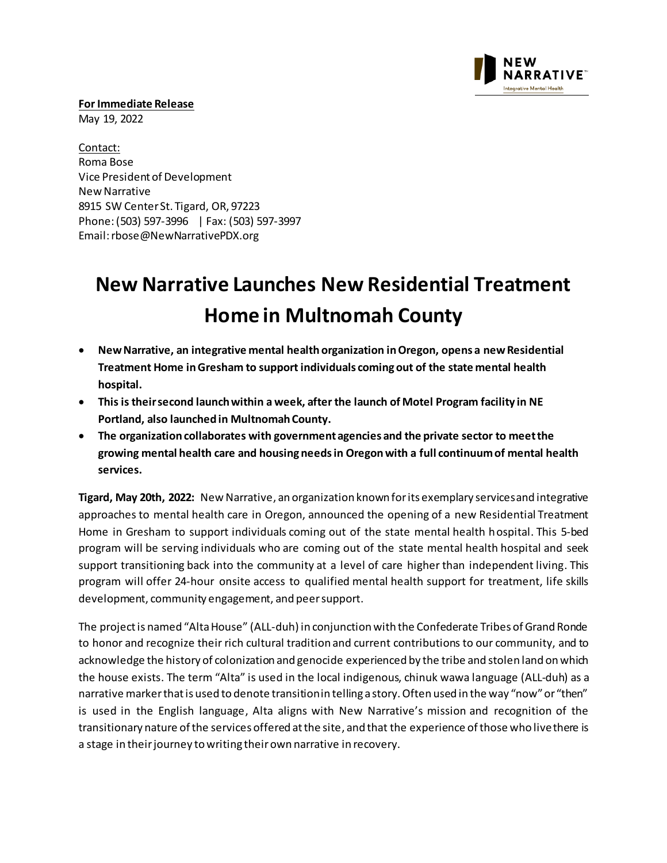

**For Immediate Release** 

May 19, 2022

Contact: Roma Bose Vice President of Development New Narrative 8915 SW Center St. Tigard, OR, 97223 Phone:(503) 597-3996 | Fax: (503) 597-3997 Email[:rbose@NewNarrativePDX.org](mailto:rbose@NewNarrativePDX.org)

## **New Narrative Launches New Residential Treatment Home in Multnomah County**

- **New Narrative, an integrative mental health organization in Oregon, opens a new Residential Treatment Home in Gresham to support individuals coming out of the state mental health hospital.**
- **This is their second launch within a week, after the launch of Motel Program facility in NE Portland, also launchedin Multnomah County.**
- **The organization collaborates with government agencies and the private sector to meet the growing mental health care and housing needs in Oregon with a full continuum of mental health services.**

**Tigard, May 20th, 2022:** New Narrative, an organization known for its exemplary services and integrative approaches to mental health care in Oregon, announced the opening of a new Residential Treatment Home in Gresham to support individuals coming out of the state mental health hospital. This 5-bed program will be serving individuals who are coming out of the state mental health hospital and seek support transitioning back into the community at a level of care higher than independent living. This program will offer 24-hour onsite access to qualified mental health support for treatment, life skills development, community engagement, and peer support.

The project is named "Alta House" (ALL-duh) in conjunction with the Confederate Tribes of Grand Ronde to honor and recognize their rich cultural tradition and current contributions to our community, and to acknowledge the history of colonization and genocide experienced by the tribe and stolen land on which the house exists. The term "Alta" is used in the local indigenous, chinuk wawa language (ALL-duh) as a narrative marker that is used to denote transition in telling a story. Often used in the way "now" or "then" is used in the English language, Alta aligns with New Narrative's mission and recognition of the transitionary nature of the services offered at the site, and that the experience of those who live there is a stage in their journey to writing their own narrative in recovery.